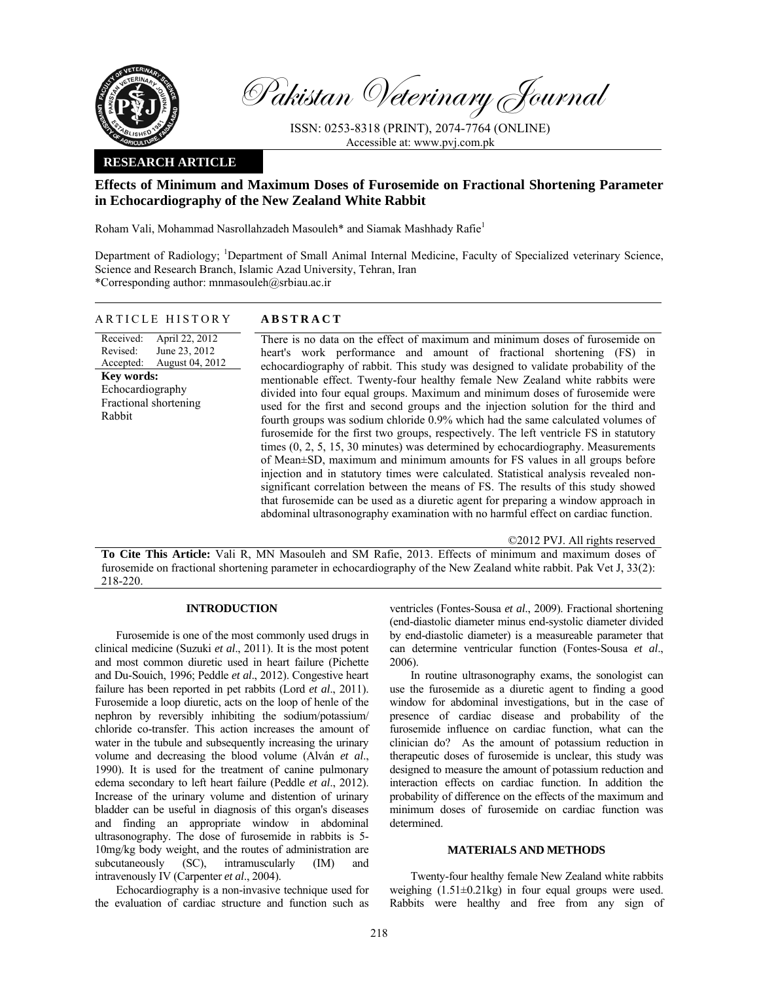

Pakistan Veterinary Journal

ISSN: 0253-8318 (PRINT), 2074-7764 (ONLINE) Accessible at: www.pvj.com.pk

## **RESEARCH ARTICLE**

# **Effects of Minimum and Maximum Doses of Furosemide on Fractional Shortening Parameter in Echocardiography of the New Zealand White Rabbit**

Roham Vali, Mohammad Nasrollahzadeh Masouleh\* and Siamak Mashhady Rafie<sup>1</sup>

Department of Radiology; <sup>1</sup>Department of Small Animal Internal Medicine, Faculty of Specialized veterinary Science, Science and Research Branch, Islamic Azad University, Tehran, Iran \*Corresponding author: mnmasouleh@srbiau.ac.ir

#### ARTICLE HISTORY **ABSTRACT**

Received: Revised: Accepted: April 22, 2012 June 23, 2012 August 04, 2012 **Key words:**  Echocardiography Fractional shortening Rabbit

 There is no data on the effect of maximum and minimum doses of furosemide on heart's work performance and amount of fractional shortening (FS) in echocardiography of rabbit. This study was designed to validate probability of the mentionable effect. Twenty-four healthy female New Zealand white rabbits were divided into four equal groups. Maximum and minimum doses of furosemide were used for the first and second groups and the injection solution for the third and fourth groups was sodium chloride 0.9% which had the same calculated volumes of furosemide for the first two groups, respectively. The left ventricle FS in statutory times (0, 2, 5, 15, 30 minutes) was determined by echocardiography. Measurements of Mean±SD, maximum and minimum amounts for FS values in all groups before injection and in statutory times were calculated. Statistical analysis revealed nonsignificant correlation between the means of FS. The results of this study showed that furosemide can be used as a diuretic agent for preparing a window approach in abdominal ultrasonography examination with no harmful effect on cardiac function.

©2012 PVJ. All rights reserved

**To Cite This Article:** Vali R, MN Masouleh and SM Rafie, 2013. Effects of minimum and maximum doses of furosemide on fractional shortening parameter in echocardiography of the New Zealand white rabbit. Pak Vet J, 33(2): 218-220.

## **INTRODUCTION**

Furosemide is one of the most commonly used drugs in clinical medicine (Suzuki *et al*., 2011). It is the most potent and most common diuretic used in heart failure (Pichette and Du-Souich, 1996; Peddle *et al*., 2012). Congestive heart failure has been reported in pet rabbits (Lord *et al*., 2011). Furosemide a loop diuretic, acts on the loop of henle of the nephron by reversibly inhibiting the sodium/potassium/ chloride co-transfer. This action increases the amount of water in the tubule and subsequently increasing the urinary volume and decreasing the blood volume (Alván *et al*., 1990). It is used for the treatment of canine pulmonary edema secondary to left heart failure (Peddle *et al*., 2012). Increase of the urinary volume and distention of urinary bladder can be useful in diagnosis of this organ's diseases and finding an appropriate window in abdominal ultrasonography. The dose of furosemide in rabbits is 5- 10mg/kg body weight, and the routes of administration are subcutaneously (SC), intramuscularly (IM) and intravenously IV (Carpenter *et al*., 2004).

Echocardiography is a non-invasive technique used for the evaluation of cardiac structure and function such as

ventricles (Fontes-Sousa *et al*., 2009). Fractional shortening (end-diastolic diameter minus end-systolic diameter divided by end-diastolic diameter) is a measureable parameter that can determine ventricular function (Fontes-Sousa *et al*., 2006).

In routine ultrasonography exams, the sonologist can use the furosemide as a diuretic agent to finding a good window for abdominal investigations, but in the case of presence of cardiac disease and probability of the furosemide influence on cardiac function, what can the clinician do? As the amount of potassium reduction in therapeutic doses of furosemide is unclear, this study was designed to measure the amount of potassium reduction and interaction effects on cardiac function. In addition the probability of difference on the effects of the maximum and minimum doses of furosemide on cardiac function was determined.

#### **MATERIALS AND METHODS**

Twenty-four healthy female New Zealand white rabbits weighing  $(1.51\pm0.21\text{kg})$  in four equal groups were used. Rabbits were healthy and free from any sign of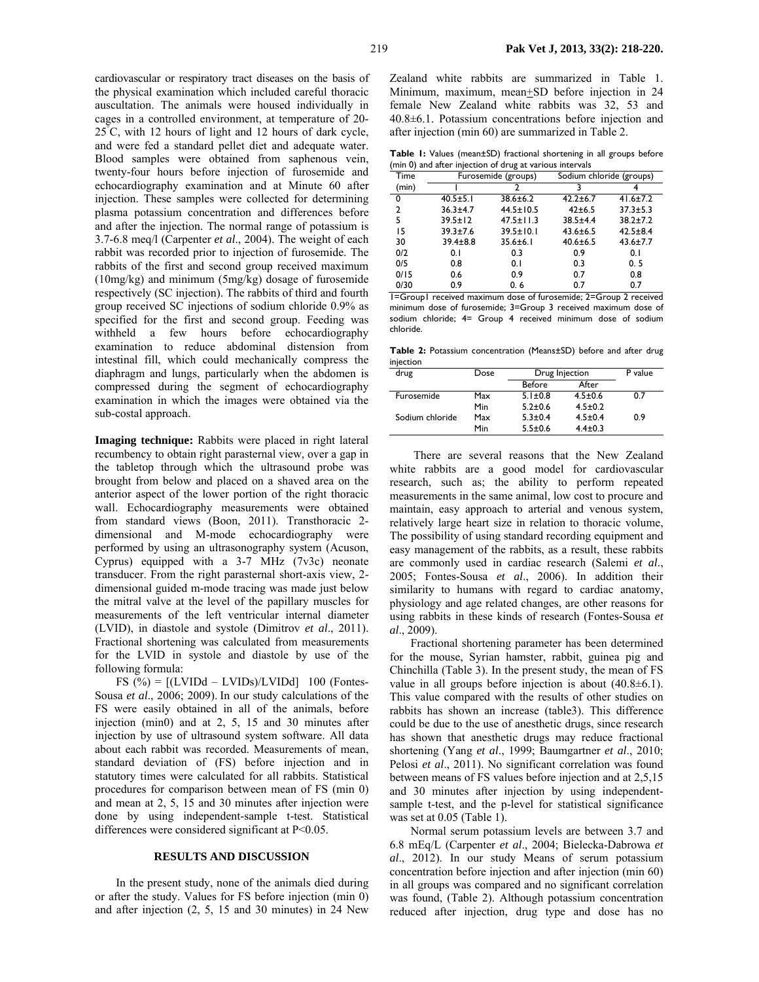cardiovascular or respiratory tract diseases on the basis of the physical examination which included careful thoracic auscultation. The animals were housed individually in cages in a controlled environment, at temperature of 20- 25° C, with 12 hours of light and 12 hours of dark cycle, and were fed a standard pellet diet and adequate water. Blood samples were obtained from saphenous vein, twenty-four hours before injection of furosemide and echocardiography examination and at Minute 60 after injection. These samples were collected for determining plasma potassium concentration and differences before and after the injection. The normal range of potassium is 3.7-6.8 meq/l (Carpenter *et al*., 2004). The weight of each rabbit was recorded prior to injection of furosemide. The rabbits of the first and second group received maximum (10mg/kg) and minimum (5mg/kg) dosage of furosemide respectively (SC injection). The rabbits of third and fourth group received SC injections of sodium chloride 0.9% as specified for the first and second group. Feeding was withheld a few hours before echocardiography examination to reduce abdominal distension from intestinal fill, which could mechanically compress the diaphragm and lungs, particularly when the abdomen is compressed during the segment of echocardiography examination in which the images were obtained via the sub-costal approach.

**Imaging technique:** Rabbits were placed in right lateral recumbency to obtain right parasternal view, over a gap in the tabletop through which the ultrasound probe was brought from below and placed on a shaved area on the anterior aspect of the lower portion of the right thoracic wall. Echocardiography measurements were obtained from standard views (Boon, 2011). Transthoracic 2 dimensional and M-mode echocardiography were performed by using an ultrasonography system (Acuson, Cyprus) equipped with a 3-7 MHz (7v3c) neonate transducer. From the right parasternal short-axis view, 2 dimensional guided m-mode tracing was made just below the mitral valve at the level of the papillary muscles for measurements of the left ventricular internal diameter (LVID), in diastole and systole (Dimitrov *et al*., 2011). Fractional shortening was calculated from measurements for the LVID in systole and diastole by use of the following formula:

FS  $(\%) = [(\text{LVIDd} - \text{LVIDs})/\text{LVIDd}]$  100 (Fontes-Sousa *et al*., 2006; 2009). In our study calculations of the FS were easily obtained in all of the animals, before injection (min0) and at 2, 5, 15 and 30 minutes after injection by use of ultrasound system software. All data about each rabbit was recorded. Measurements of mean, standard deviation of (FS) before injection and in statutory times were calculated for all rabbits. Statistical procedures for comparison between mean of FS (min 0) and mean at 2, 5, 15 and 30 minutes after injection were done by using independent-sample t-test. Statistical differences were considered significant at P<0.05.

#### **RESULTS AND DISCUSSION**

In the present study, none of the animals died during or after the study. Values for FS before injection (min 0) and after injection (2, 5, 15 and 30 minutes) in 24 New

Zealand white rabbits are summarized in Table 1. Minimum, maximum, mean+SD before injection in 24 female New Zealand white rabbits was 32, 53 and 40.8±6.1. Potassium concentrations before injection and after injection (min 60) are summarized in Table 2.

**Table 1:** Values (mean±SD) fractional shortening in all groups before (min 0) and after injection of drug at various intervals

| Time  |                | Furosemide (groups) |                | Sodium chloride (groups) |  |
|-------|----------------|---------------------|----------------|--------------------------|--|
| (min) |                |                     |                |                          |  |
| 0     | $40.5 \pm 5.1$ | 38.6±6.2            | $42.2 \pm 6.7$ | $41.6 \pm 7.2$           |  |
| 2     | $36.3 \pm 4.7$ | $44.5 \pm 10.5$     | 42±6.5         | $37.3 \pm 5.3$           |  |
| 5     | $39.5 \pm 12$  | $47.5 \pm 11.3$     | $38.5 + 4.4$   | $38.2 \pm 7.2$           |  |
| 15    | $39.3 \pm 7.6$ | $39.5 \pm 10.1$     | $43.6 \pm 6.5$ | $42.5 \pm 8.4$           |  |
| 30    | $39.4 \pm 8.8$ | $35.6 \pm 6.1$      | $40.6 \pm 6.5$ | $43.6 \pm 7.7$           |  |
| 0/2   | 0.1            | 0.3                 | 0.9            | 0.1                      |  |
| 0/5   | 0.8            | 0.1                 | 0.3            | 0.5                      |  |
| 0/15  | 0.6            | 0.9                 | 0.7            | 0.8                      |  |
| 0/30  | 0.9            | 0.6                 | 0.7            | 0.7                      |  |
|       |                |                     |                |                          |  |

1=Group1 received maximum dose of furosemide; 2=Group 2 received minimum dose of furosemide; 3=Group 3 received maximum dose of sodium chloride; 4= Group 4 received minimum dose of sodium chloride.

**Table 2:** Potassium concentration (Means±SD) before and after drug injection

| drug            | Dose | Drug Injection |               | P value |
|-----------------|------|----------------|---------------|---------|
|                 |      | Before         | After         |         |
| Furosemide      | Max  | $5.1 \pm 0.8$  | $4.5 \pm 0.6$ | 0.7     |
|                 | Min  | $5.2 \pm 0.6$  | $4.5 \pm 0.2$ |         |
| Sodium chloride | Max  | $5.3 \pm 0.4$  | $4.5 \pm 0.4$ | 0.9     |
|                 | Min  | $5.5 \pm 0.6$  | $4.4 \pm 0.3$ |         |

 There are several reasons that the New Zealand white rabbits are a good model for cardiovascular research, such as; the ability to perform repeated measurements in the same animal, low cost to procure and maintain, easy approach to arterial and venous system, relatively large heart size in relation to thoracic volume, The possibility of using standard recording equipment and easy management of the rabbits, as a result, these rabbits are commonly used in cardiac research (Salemi *et al*., 2005; Fontes-Sousa *et al*., 2006). In addition their similarity to humans with regard to cardiac anatomy, physiology and age related changes, are other reasons for using rabbits in these kinds of research (Fontes-Sousa *et al*., 2009).

Fractional shortening parameter has been determined for the mouse, Syrian hamster, rabbit, guinea pig and Chinchilla (Table 3). In the present study, the mean of FS value in all groups before injection is about  $(40.8\pm6.1)$ . This value compared with the results of other studies on rabbits has shown an increase (table3). This difference could be due to the use of anesthetic drugs, since research has shown that anesthetic drugs may reduce fractional shortening (Yang *et al*., 1999; Baumgartner *et al*., 2010; Pelosi et al., 2011). No significant correlation was found between means of FS values before injection and at 2,5,15 and 30 minutes after injection by using independentsample t-test, and the p-level for statistical significance was set at 0.05 (Table 1).

Normal serum potassium levels are between 3.7 and 6.8 mEq/L (Carpenter *et al*., 2004; Bielecka-Dabrowa *et al*., 2012). In our study Means of serum potassium concentration before injection and after injection (min 60) in all groups was compared and no significant correlation was found, (Table 2). Although potassium concentration reduced after injection, drug type and dose has no